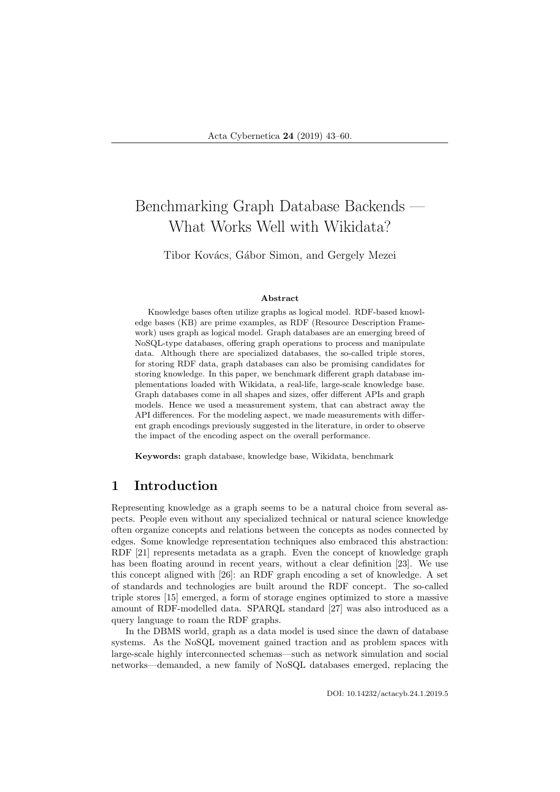# Benchmarking Graph Database Backends — What Works Well with Wikidata?

Tibor Kovács, Gábor Simon, and Gergely Mezei

#### Abstract

Knowledge bases often utilize graphs as logical model. RDF-based knowledge bases (KB) are prime examples, as RDF (Resource Description Framework) uses graph as logical model. Graph databases are an emerging breed of NoSQL-type databases, offering graph operations to process and manipulate data. Although there are specialized databases, the so-called triple stores, for storing RDF data, graph databases can also be promising candidates for storing knowledge. In this paper, we benchmark different graph database implementations loaded with Wikidata, a real-life, large-scale knowledge base. Graph databases come in all shapes and sizes, offer different APIs and graph models. Hence we used a measurement system, that can abstract away the API differences. For the modeling aspect, we made measurements with different graph encodings previously suggested in the literature, in order to observe the impact of the encoding aspect on the overall performance.

Keywords: graph database, knowledge base, Wikidata, benchmark

## 1 Introduction

Representing knowledge as a graph seems to be a natural choice from several aspects. People even without any specialized technical or natural science knowledge often organize concepts and relations between the concepts as nodes connected by edges. Some knowledge representation techniques also embraced this abstraction: RDF [21] represents metadata as a graph. Even the concept of knowledge graph has been floating around in recent years, without a clear definition [23]. We use this concept aligned with [26]: an RDF graph encoding a set of knowledge. A set of standards and technologies are built around the RDF concept. The so-called triple stores [15] emerged, a form of storage engines optimized to store a massive amount of RDF-modelled data. SPARQL standard [27] was also introduced as a query language to roam the RDF graphs.

In the DBMS world, graph as a data model is used since the dawn of database systems. As the NoSQL movement gained traction and as problem spaces with large-scale highly interconnected schemas—such as network simulation and social networks—demanded, a new family of NoSQL databases emerged, replacing the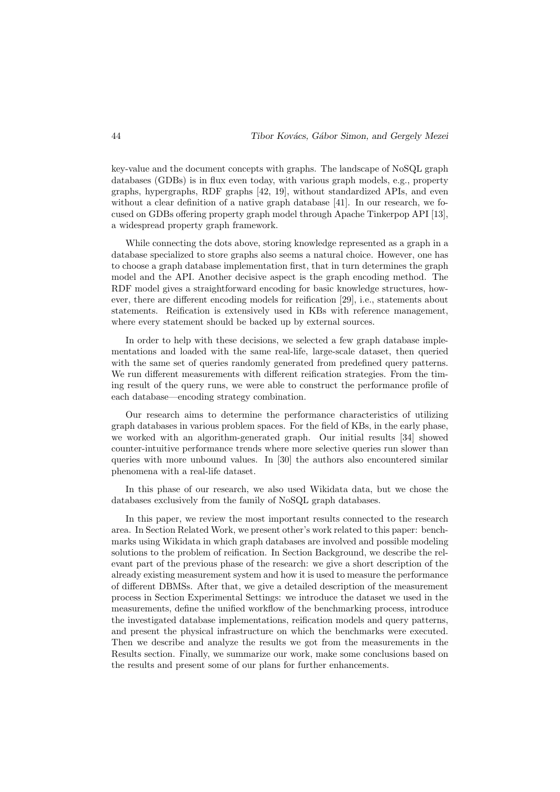key-value and the document concepts with graphs. The landscape of NoSQL graph databases (GDBs) is in flux even today, with various graph models, e.g., property graphs, hypergraphs, RDF graphs [42, 19], without standardized APIs, and even without a clear definition of a native graph database [41]. In our research, we focused on GDBs offering property graph model through Apache Tinkerpop API [13], a widespread property graph framework.

While connecting the dots above, storing knowledge represented as a graph in a database specialized to store graphs also seems a natural choice. However, one has to choose a graph database implementation first, that in turn determines the graph model and the API. Another decisive aspect is the graph encoding method. The RDF model gives a straightforward encoding for basic knowledge structures, however, there are different encoding models for reification [29], i.e., statements about statements. Reification is extensively used in KBs with reference management, where every statement should be backed up by external sources.

In order to help with these decisions, we selected a few graph database implementations and loaded with the same real-life, large-scale dataset, then queried with the same set of queries randomly generated from predefined query patterns. We run different measurements with different reification strategies. From the timing result of the query runs, we were able to construct the performance profile of each database—encoding strategy combination.

Our research aims to determine the performance characteristics of utilizing graph databases in various problem spaces. For the field of KBs, in the early phase, we worked with an algorithm-generated graph. Our initial results [34] showed counter-intuitive performance trends where more selective queries run slower than queries with more unbound values. In [30] the authors also encountered similar phenomena with a real-life dataset.

In this phase of our research, we also used Wikidata data, but we chose the databases exclusively from the family of NoSQL graph databases.

In this paper, we review the most important results connected to the research area. In Section Related Work, we present other's work related to this paper: benchmarks using Wikidata in which graph databases are involved and possible modeling solutions to the problem of reification. In Section Background, we describe the relevant part of the previous phase of the research: we give a short description of the already existing measurement system and how it is used to measure the performance of different DBMSs. After that, we give a detailed description of the measurement process in Section Experimental Settings: we introduce the dataset we used in the measurements, define the unified workflow of the benchmarking process, introduce the investigated database implementations, reification models and query patterns, and present the physical infrastructure on which the benchmarks were executed. Then we describe and analyze the results we got from the measurements in the Results section. Finally, we summarize our work, make some conclusions based on the results and present some of our plans for further enhancements.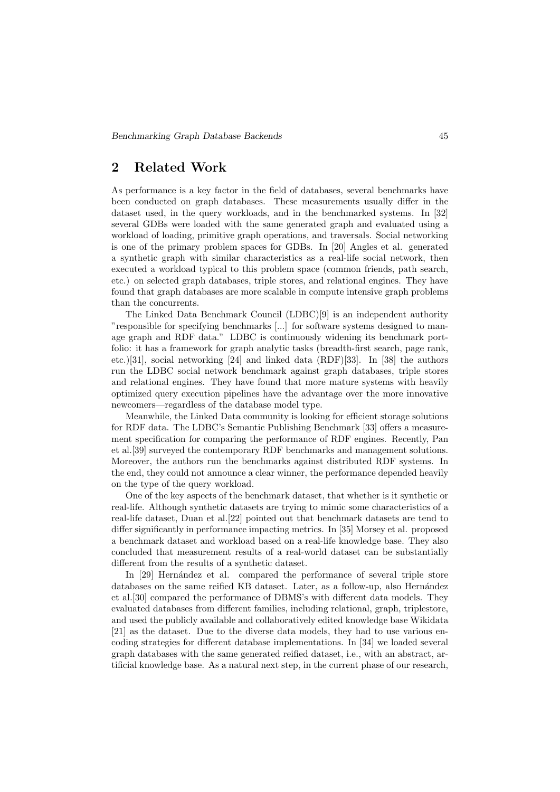## 2 Related Work

As performance is a key factor in the field of databases, several benchmarks have been conducted on graph databases. These measurements usually differ in the dataset used, in the query workloads, and in the benchmarked systems. In [32] several GDBs were loaded with the same generated graph and evaluated using a workload of loading, primitive graph operations, and traversals. Social networking is one of the primary problem spaces for GDBs. In [20] Angles et al. generated a synthetic graph with similar characteristics as a real-life social network, then executed a workload typical to this problem space (common friends, path search, etc.) on selected graph databases, triple stores, and relational engines. They have found that graph databases are more scalable in compute intensive graph problems than the concurrents.

The Linked Data Benchmark Council (LDBC)[9] is an independent authority "responsible for specifying benchmarks [...] for software systems designed to manage graph and RDF data." LDBC is continuously widening its benchmark portfolio: it has a framework for graph analytic tasks (breadth-first search, page rank, etc.)[31], social networking [24] and linked data (RDF)[33]. In [38] the authors run the LDBC social network benchmark against graph databases, triple stores and relational engines. They have found that more mature systems with heavily optimized query execution pipelines have the advantage over the more innovative newcomers—regardless of the database model type.

Meanwhile, the Linked Data community is looking for efficient storage solutions for RDF data. The LDBC's Semantic Publishing Benchmark [33] offers a measurement specification for comparing the performance of RDF engines. Recently, Pan et al.[39] surveyed the contemporary RDF benchmarks and management solutions. Moreover, the authors run the benchmarks against distributed RDF systems. In the end, they could not announce a clear winner, the performance depended heavily on the type of the query workload.

One of the key aspects of the benchmark dataset, that whether is it synthetic or real-life. Although synthetic datasets are trying to mimic some characteristics of a real-life dataset, Duan et al.[22] pointed out that benchmark datasets are tend to differ significantly in performance impacting metrics. In [35] Morsey et al. proposed a benchmark dataset and workload based on a real-life knowledge base. They also concluded that measurement results of a real-world dataset can be substantially different from the results of a synthetic dataset.

In [29] Hernández et al. compared the performance of several triple store databases on the same reified KB dataset. Later, as a follow-up, also Hernández et al.[30] compared the performance of DBMS's with different data models. They evaluated databases from different families, including relational, graph, triplestore, and used the publicly available and collaboratively edited knowledge base Wikidata [21] as the dataset. Due to the diverse data models, they had to use various encoding strategies for different database implementations. In [34] we loaded several graph databases with the same generated reified dataset, i.e., with an abstract, artificial knowledge base. As a natural next step, in the current phase of our research,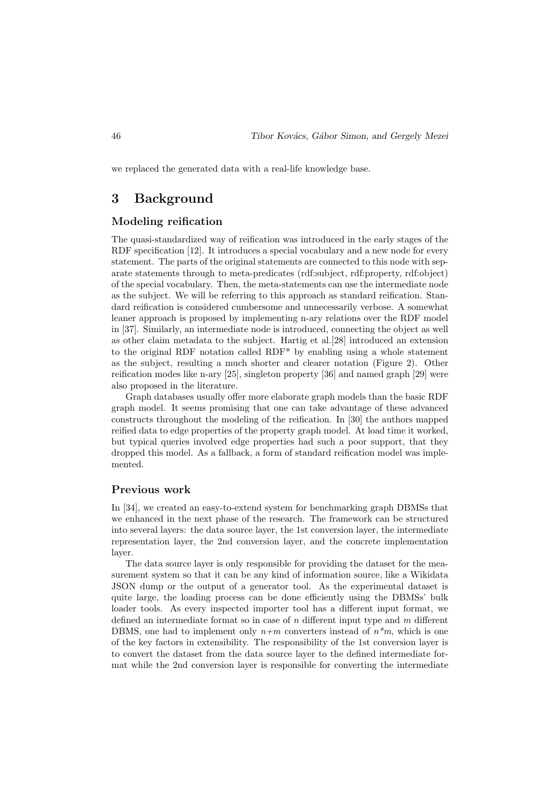we replaced the generated data with a real-life knowledge base.

## 3 Background

### Modeling reification

The quasi-standardized way of reification was introduced in the early stages of the RDF specification [12]. It introduces a special vocabulary and a new node for every statement. The parts of the original statements are connected to this node with separate statements through to meta-predicates (rdf:subject, rdf:property, rdf:object) of the special vocabulary. Then, the meta-statements can use the intermediate node as the subject. We will be referring to this approach as standard reification. Standard reification is considered cumbersome and unnecessarily verbose. A somewhat leaner approach is proposed by implementing n-ary relations over the RDF model in [37]. Similarly, an intermediate node is introduced, connecting the object as well as other claim metadata to the subject. Hartig et al.[28] introduced an extension to the original RDF notation called RDF\* by enabling using a whole statement as the subject, resulting a much shorter and clearer notation (Figure 2). Other reification modes like n-ary [25], singleton property [36] and named graph [29] were also proposed in the literature.

Graph databases usually offer more elaborate graph models than the basic RDF graph model. It seems promising that one can take advantage of these advanced constructs throughout the modeling of the reification. In [30] the authors mapped reified data to edge properties of the property graph model. At load time it worked, but typical queries involved edge properties had such a poor support, that they dropped this model. As a fallback, a form of standard reification model was implemented.

#### Previous work

In [34], we created an easy-to-extend system for benchmarking graph DBMSs that we enhanced in the next phase of the research. The framework can be structured into several layers: the data source layer, the 1st conversion layer, the intermediate representation layer, the 2nd conversion layer, and the concrete implementation layer.

The data source layer is only responsible for providing the dataset for the measurement system so that it can be any kind of information source, like a Wikidata JSON dump or the output of a generator tool. As the experimental dataset is quite large, the loading process can be done efficiently using the DBMSs' bulk loader tools. As every inspected importer tool has a different input format, we defined an intermediate format so in case of  $n$  different input type and  $m$  different DBMS, one had to implement only  $n+m$  converters instead of  $n*m$ , which is one of the key factors in extensibility. The responsibility of the 1st conversion layer is to convert the dataset from the data source layer to the defined intermediate format while the 2nd conversion layer is responsible for converting the intermediate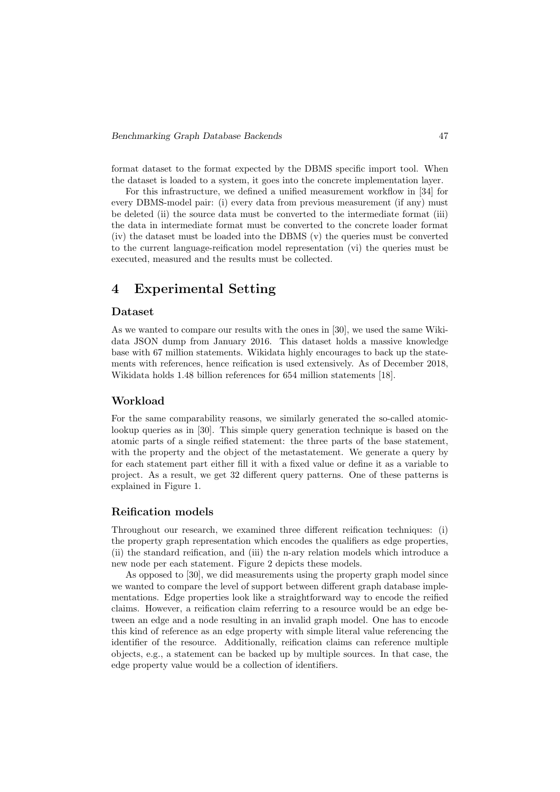format dataset to the format expected by the DBMS specific import tool. When the dataset is loaded to a system, it goes into the concrete implementation layer.

For this infrastructure, we defined a unified measurement workflow in [34] for every DBMS-model pair: (i) every data from previous measurement (if any) must be deleted (ii) the source data must be converted to the intermediate format (iii) the data in intermediate format must be converted to the concrete loader format (iv) the dataset must be loaded into the DBMS (v) the queries must be converted to the current language-reification model representation (vi) the queries must be executed, measured and the results must be collected.

## 4 Experimental Setting

#### Dataset

As we wanted to compare our results with the ones in [30], we used the same Wikidata JSON dump from January 2016. This dataset holds a massive knowledge base with 67 million statements. Wikidata highly encourages to back up the statements with references, hence reification is used extensively. As of December 2018, Wikidata holds 1.48 billion references for 654 million statements [18].

#### Workload

For the same comparability reasons, we similarly generated the so-called atomiclookup queries as in [30]. This simple query generation technique is based on the atomic parts of a single reified statement: the three parts of the base statement, with the property and the object of the metastatement. We generate a query by for each statement part either fill it with a fixed value or define it as a variable to project. As a result, we get 32 different query patterns. One of these patterns is explained in Figure 1.

#### Reification models

Throughout our research, we examined three different reification techniques: (i) the property graph representation which encodes the qualifiers as edge properties, (ii) the standard reification, and (iii) the n-ary relation models which introduce a new node per each statement. Figure 2 depicts these models.

As opposed to [30], we did measurements using the property graph model since we wanted to compare the level of support between different graph database implementations. Edge properties look like a straightforward way to encode the reified claims. However, a reification claim referring to a resource would be an edge between an edge and a node resulting in an invalid graph model. One has to encode this kind of reference as an edge property with simple literal value referencing the identifier of the resource. Additionally, reification claims can reference multiple objects, e.g., a statement can be backed up by multiple sources. In that case, the edge property value would be a collection of identifiers.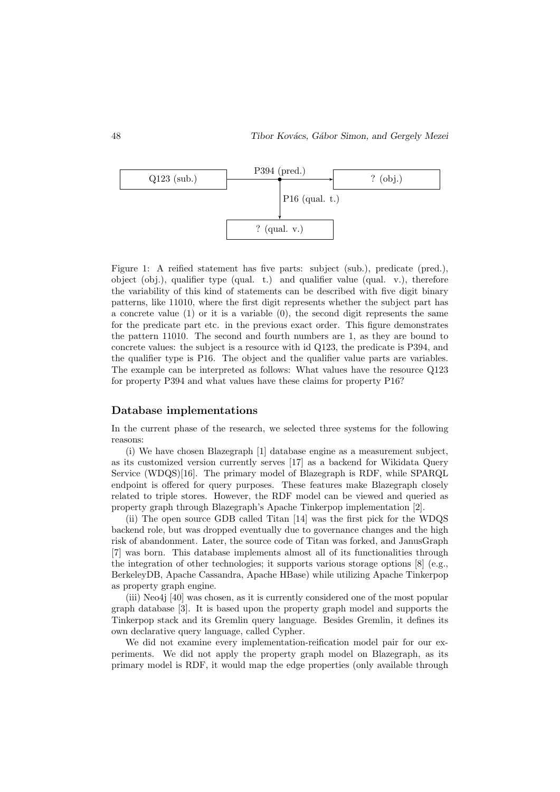

Figure 1: A reified statement has five parts: subject (sub.), predicate (pred.), object (obj.), qualifier type (qual. t.) and qualifier value (qual. v.), therefore the variability of this kind of statements can be described with five digit binary patterns, like 11010, where the first digit represents whether the subject part has a concrete value  $(1)$  or it is a variable  $(0)$ , the second digit represents the same for the predicate part etc. in the previous exact order. This figure demonstrates the pattern 11010. The second and fourth numbers are 1, as they are bound to concrete values: the subject is a resource with id Q123, the predicate is P394, and the qualifier type is P16. The object and the qualifier value parts are variables. The example can be interpreted as follows: What values have the resource Q123 for property P394 and what values have these claims for property P16?

#### Database implementations

In the current phase of the research, we selected three systems for the following reasons:

(i) We have chosen Blazegraph [1] database engine as a measurement subject, as its customized version currently serves [17] as a backend for Wikidata Query Service (WDQS)[16]. The primary model of Blazegraph is RDF, while SPARQL endpoint is offered for query purposes. These features make Blazegraph closely related to triple stores. However, the RDF model can be viewed and queried as property graph through Blazegraph's Apache Tinkerpop implementation [2].

(ii) The open source GDB called Titan [14] was the first pick for the WDQS backend role, but was dropped eventually due to governance changes and the high risk of abandonment. Later, the source code of Titan was forked, and JanusGraph [7] was born. This database implements almost all of its functionalities through the integration of other technologies; it supports various storage options [8] (e.g., BerkeleyDB, Apache Cassandra, Apache HBase) while utilizing Apache Tinkerpop as property graph engine.

(iii) Neo4j [40] was chosen, as it is currently considered one of the most popular graph database [3]. It is based upon the property graph model and supports the Tinkerpop stack and its Gremlin query language. Besides Gremlin, it defines its own declarative query language, called Cypher.

We did not examine every implementation-reification model pair for our experiments. We did not apply the property graph model on Blazegraph, as its primary model is RDF, it would map the edge properties (only available through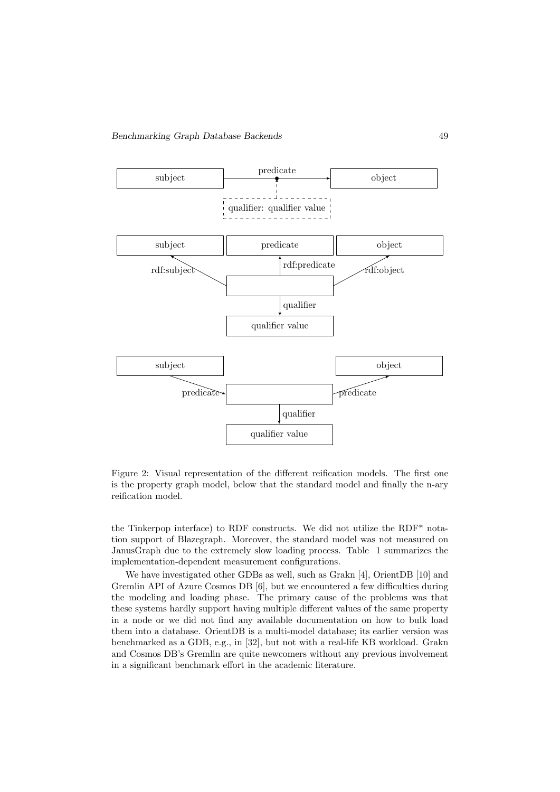

Figure 2: Visual representation of the different reification models. The first one is the property graph model, below that the standard model and finally the n-ary reification model.

the Tinkerpop interface) to RDF constructs. We did not utilize the RDF\* notation support of Blazegraph. Moreover, the standard model was not measured on JanusGraph due to the extremely slow loading process. Table 1 summarizes the implementation-dependent measurement configurations.

We have investigated other GDBs as well, such as Grakn [4], OrientDB [10] and Gremlin API of Azure Cosmos DB [6], but we encountered a few difficulties during the modeling and loading phase. The primary cause of the problems was that these systems hardly support having multiple different values of the same property in a node or we did not find any available documentation on how to bulk load them into a database. OrientDB is a multi-model database; its earlier version was benchmarked as a GDB, e.g., in [32], but not with a real-life KB workload. Grakn and Cosmos DB's Gremlin are quite newcomers without any previous involvement in a significant benchmark effort in the academic literature.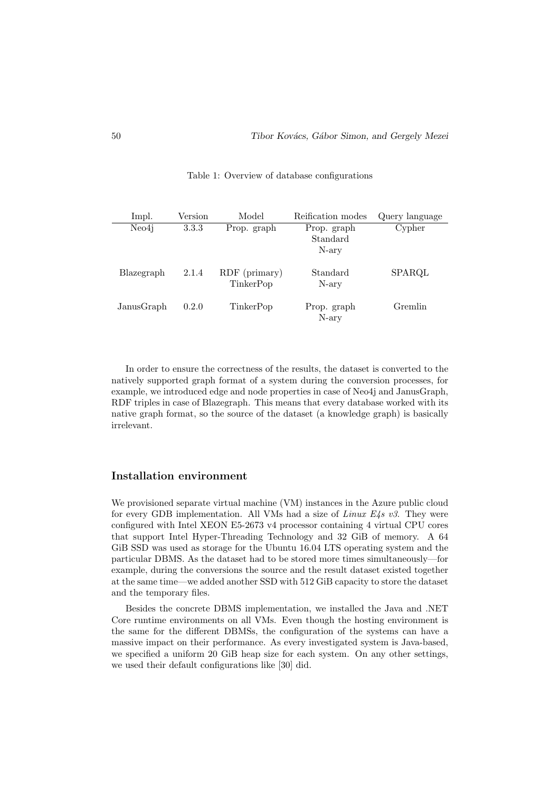| Impl.      | Version | Model         | Reification modes | Query language |
|------------|---------|---------------|-------------------|----------------|
| Neo4i      | 3.3.3   | Prop. graph   | Prop. graph       | Cypher         |
|            |         |               | Standard          |                |
|            |         |               | N-ary             |                |
|            |         |               |                   |                |
| Blazegraph | 2.1.4   | RDF (primary) | Standard          | SPARQL         |
|            |         | TinkerPop     | N-ary             |                |
|            |         |               |                   |                |
| JanusGraph | 0.2.0   | TinkerPop     | Prop. graph       | Gremlin        |
|            |         |               | N-ary             |                |

Table 1: Overview of database configurations

In order to ensure the correctness of the results, the dataset is converted to the natively supported graph format of a system during the conversion processes, for example, we introduced edge and node properties in case of Neo4j and JanusGraph, RDF triples in case of Blazegraph. This means that every database worked with its native graph format, so the source of the dataset (a knowledge graph) is basically irrelevant.

#### Installation environment

We provisioned separate virtual machine (VM) instances in the Azure public cloud for every GDB implementation. All VMs had a size of Linux  $E4s$  v3. They were configured with Intel XEON E5-2673 v4 processor containing 4 virtual CPU cores that support Intel Hyper-Threading Technology and 32 GiB of memory. A 64 GiB SSD was used as storage for the Ubuntu 16.04 LTS operating system and the particular DBMS. As the dataset had to be stored more times simultaneously—for example, during the conversions the source and the result dataset existed together at the same time—we added another SSD with 512 GiB capacity to store the dataset and the temporary files.

Besides the concrete DBMS implementation, we installed the Java and .NET Core runtime environments on all VMs. Even though the hosting environment is the same for the different DBMSs, the configuration of the systems can have a massive impact on their performance. As every investigated system is Java-based, we specified a uniform 20 GiB heap size for each system. On any other settings, we used their default configurations like [30] did.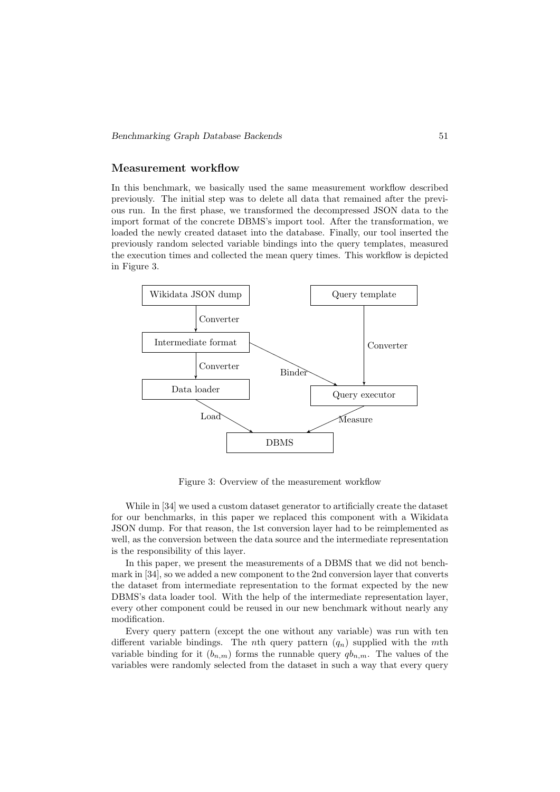#### Measurement workflow

In this benchmark, we basically used the same measurement workflow described previously. The initial step was to delete all data that remained after the previous run. In the first phase, we transformed the decompressed JSON data to the import format of the concrete DBMS's import tool. After the transformation, we loaded the newly created dataset into the database. Finally, our tool inserted the previously random selected variable bindings into the query templates, measured the execution times and collected the mean query times. This workflow is depicted in Figure 3.



Figure 3: Overview of the measurement workflow

While in [34] we used a custom dataset generator to artificially create the dataset for our benchmarks, in this paper we replaced this component with a Wikidata JSON dump. For that reason, the 1st conversion layer had to be reimplemented as well, as the conversion between the data source and the intermediate representation is the responsibility of this layer.

In this paper, we present the measurements of a DBMS that we did not benchmark in [34], so we added a new component to the 2nd conversion layer that converts the dataset from intermediate representation to the format expected by the new DBMS's data loader tool. With the help of the intermediate representation layer, every other component could be reused in our new benchmark without nearly any modification.

Every query pattern (except the one without any variable) was run with ten different variable bindings. The *n*th query pattern  $(q_n)$  supplied with the *mth* variable binding for it  $(b_{n,m})$  forms the runnable query  $q_{n,m}$ . The values of the variables were randomly selected from the dataset in such a way that every query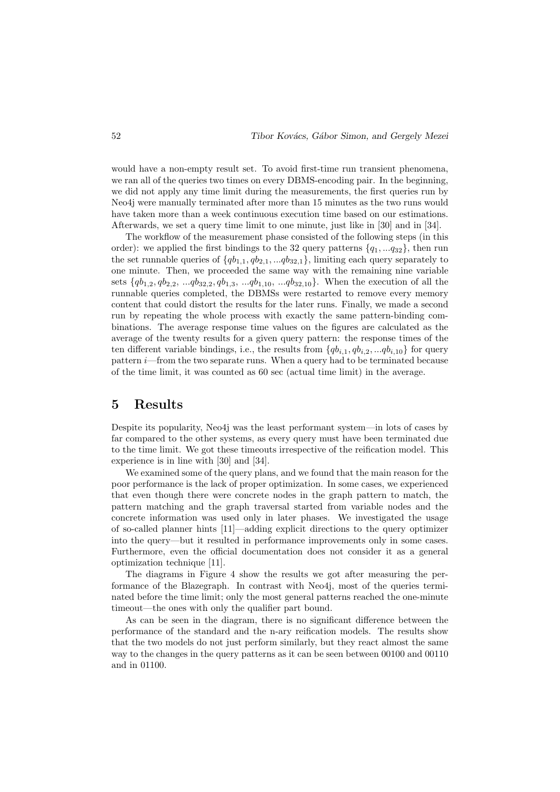would have a non-empty result set. To avoid first-time run transient phenomena, we ran all of the queries two times on every DBMS-encoding pair. In the beginning, we did not apply any time limit during the measurements, the first queries run by Neo4j were manually terminated after more than 15 minutes as the two runs would have taken more than a week continuous execution time based on our estimations. Afterwards, we set a query time limit to one minute, just like in [30] and in [34].

The workflow of the measurement phase consisted of the following steps (in this order): we applied the first bindings to the 32 query patterns  $\{q_1, \ldots q_{32}\}\,$  then run the set runnable queries of  $\{qb_{1,1}, qb_{2,1}, ... q_{2,1}\}$ , limiting each query separately to one minute. Then, we proceeded the same way with the remaining nine variable sets  $\{qb_{1,2}, qb_{2,2}, ... qb_{32,2}, qb_{1,3}, ... qb_{1,10}, ... qb_{32,10}\}.$  When the execution of all the runnable queries completed, the DBMSs were restarted to remove every memory content that could distort the results for the later runs. Finally, we made a second run by repeating the whole process with exactly the same pattern-binding combinations. The average response time values on the figures are calculated as the average of the twenty results for a given query pattern: the response times of the ten different variable bindings, i.e., the results from  $\{qb_{i,1}, qb_{i,2}, \ldots qb_{i,10}\}$  for query pattern i—from the two separate runs. When a query had to be terminated because of the time limit, it was counted as 60 sec (actual time limit) in the average.

### 5 Results

Despite its popularity, Neo4j was the least performant system—in lots of cases by far compared to the other systems, as every query must have been terminated due to the time limit. We got these timeouts irrespective of the reification model. This experience is in line with [30] and [34].

We examined some of the query plans, and we found that the main reason for the poor performance is the lack of proper optimization. In some cases, we experienced that even though there were concrete nodes in the graph pattern to match, the pattern matching and the graph traversal started from variable nodes and the concrete information was used only in later phases. We investigated the usage of so-called planner hints [11]—adding explicit directions to the query optimizer into the query—but it resulted in performance improvements only in some cases. Furthermore, even the official documentation does not consider it as a general optimization technique [11].

The diagrams in Figure 4 show the results we got after measuring the performance of the Blazegraph. In contrast with Neo4j, most of the queries terminated before the time limit; only the most general patterns reached the one-minute timeout—the ones with only the qualifier part bound.

As can be seen in the diagram, there is no significant difference between the performance of the standard and the n-ary reification models. The results show that the two models do not just perform similarly, but they react almost the same way to the changes in the query patterns as it can be seen between 00100 and 00110 and in 01100.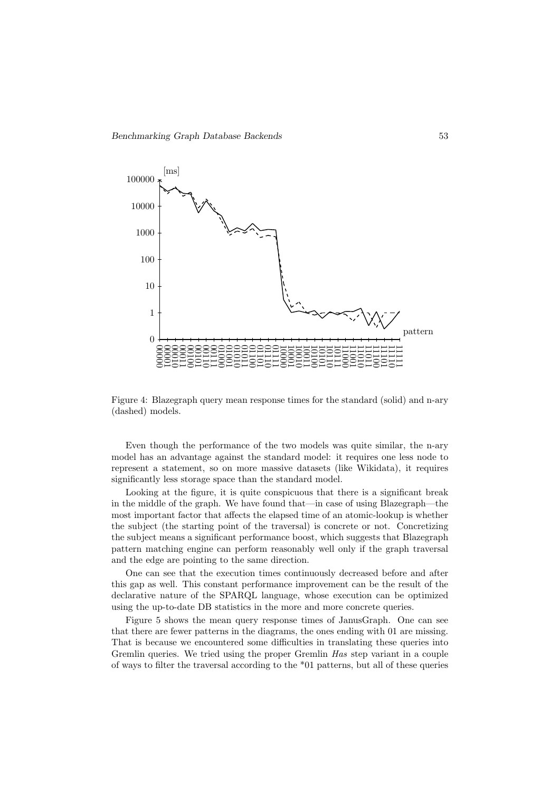

Figure 4: Blazegraph query mean response times for the standard (solid) and n-ary (dashed) models.

Even though the performance of the two models was quite similar, the n-ary model has an advantage against the standard model: it requires one less node to represent a statement, so on more massive datasets (like Wikidata), it requires significantly less storage space than the standard model.

Looking at the figure, it is quite conspicuous that there is a significant break in the middle of the graph. We have found that—in case of using Blazegraph—the most important factor that affects the elapsed time of an atomic-lookup is whether the subject (the starting point of the traversal) is concrete or not. Concretizing the subject means a significant performance boost, which suggests that Blazegraph pattern matching engine can perform reasonably well only if the graph traversal and the edge are pointing to the same direction.

One can see that the execution times continuously decreased before and after this gap as well. This constant performance improvement can be the result of the declarative nature of the SPARQL language, whose execution can be optimized using the up-to-date DB statistics in the more and more concrete queries.

Figure 5 shows the mean query response times of JanusGraph. One can see that there are fewer patterns in the diagrams, the ones ending with 01 are missing. That is because we encountered some difficulties in translating these queries into Gremlin queries. We tried using the proper Gremlin Has step variant in a couple of ways to filter the traversal according to the \*01 patterns, but all of these queries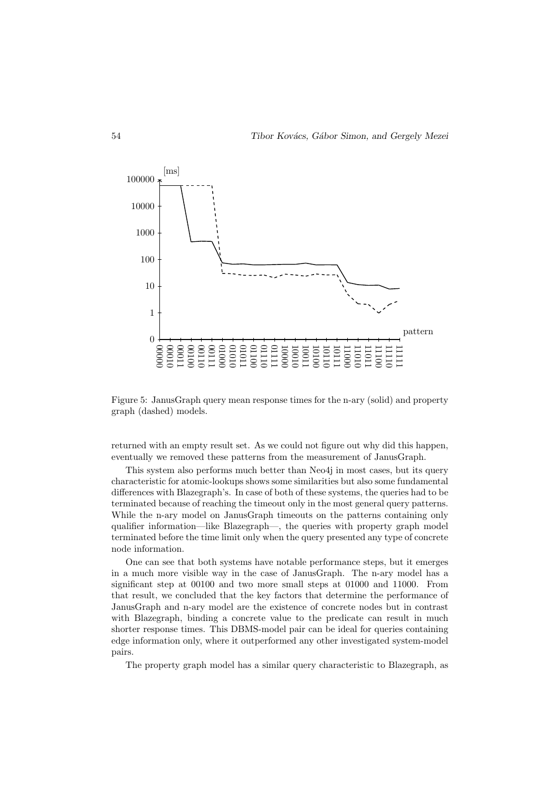

Figure 5: JanusGraph query mean response times for the n-ary (solid) and property graph (dashed) models.

returned with an empty result set. As we could not figure out why did this happen, eventually we removed these patterns from the measurement of JanusGraph.

This system also performs much better than Neo4j in most cases, but its query characteristic for atomic-lookups shows some similarities but also some fundamental differences with Blazegraph's. In case of both of these systems, the queries had to be terminated because of reaching the timeout only in the most general query patterns. While the n-ary model on JanusGraph timeouts on the patterns containing only qualifier information—like Blazegraph—, the queries with property graph model terminated before the time limit only when the query presented any type of concrete node information.

One can see that both systems have notable performance steps, but it emerges in a much more visible way in the case of JanusGraph. The n-ary model has a significant step at 00100 and two more small steps at 01000 and 11000. From that result, we concluded that the key factors that determine the performance of JanusGraph and n-ary model are the existence of concrete nodes but in contrast with Blazegraph, binding a concrete value to the predicate can result in much shorter response times. This DBMS-model pair can be ideal for queries containing edge information only, where it outperformed any other investigated system-model pairs.

The property graph model has a similar query characteristic to Blazegraph, as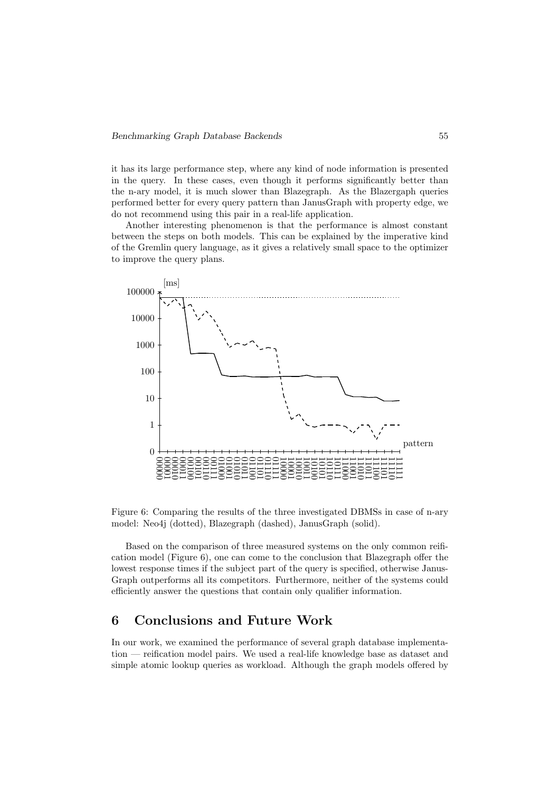it has its large performance step, where any kind of node information is presented in the query. In these cases, even though it performs significantly better than the n-ary model, it is much slower than Blazegraph. As the Blazergaph queries performed better for every query pattern than JanusGraph with property edge, we do not recommend using this pair in a real-life application.

Another interesting phenomenon is that the performance is almost constant between the steps on both models. This can be explained by the imperative kind of the Gremlin query language, as it gives a relatively small space to the optimizer to improve the query plans.



Figure 6: Comparing the results of the three investigated DBMSs in case of n-ary model: Neo4j (dotted), Blazegraph (dashed), JanusGraph (solid).

Based on the comparison of three measured systems on the only common reification model (Figure 6), one can come to the conclusion that Blazegraph offer the lowest response times if the subject part of the query is specified, otherwise Janus-Graph outperforms all its competitors. Furthermore, neither of the systems could efficiently answer the questions that contain only qualifier information.

## 6 Conclusions and Future Work

In our work, we examined the performance of several graph database implementation — reification model pairs. We used a real-life knowledge base as dataset and simple atomic lookup queries as workload. Although the graph models offered by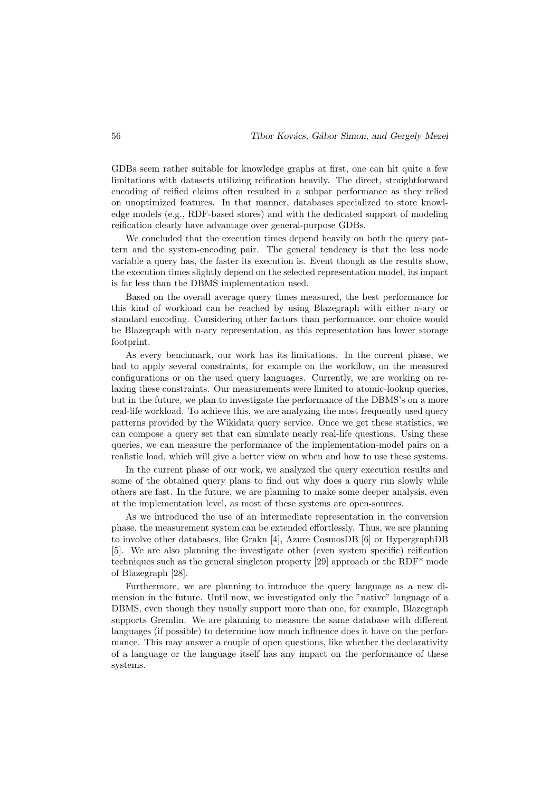GDBs seem rather suitable for knowledge graphs at first, one can hit quite a few limitations with datasets utilizing reification heavily. The direct, straightforward encoding of reified claims often resulted in a subpar performance as they relied on unoptimized features. In that manner, databases specialized to store knowledge models (e.g., RDF-based stores) and with the dedicated support of modeling reification clearly have advantage over general-purpose GDBs.

We concluded that the execution times depend heavily on both the query pattern and the system-encoding pair. The general tendency is that the less node variable a query has, the faster its execution is. Event though as the results show, the execution times slightly depend on the selected representation model, its impact is far less than the DBMS implementation used.

Based on the overall average query times measured, the best performance for this kind of workload can be reached by using Blazegraph with either n-ary or standard encoding. Considering other factors than performance, our choice would be Blazegraph with n-ary representation, as this representation has lower storage footprint.

As every benchmark, our work has its limitations. In the current phase, we had to apply several constraints, for example on the workflow, on the measured configurations or on the used query languages. Currently, we are working on relaxing these constraints. Our measurements were limited to atomic-lookup queries, but in the future, we plan to investigate the performance of the DBMS's on a more real-life workload. To achieve this, we are analyzing the most frequently used query patterns provided by the Wikidata query service. Once we get these statistics, we can compose a query set that can simulate nearly real-life questions. Using these queries, we can measure the performance of the implementation-model pairs on a realistic load, which will give a better view on when and how to use these systems.

In the current phase of our work, we analyzed the query execution results and some of the obtained query plans to find out why does a query run slowly while others are fast. In the future, we are planning to make some deeper analysis, even at the implementation level, as most of these systems are open-sources.

As we introduced the use of an intermediate representation in the conversion phase, the measurement system can be extended effortlessly. Thus, we are planning to involve other databases, like Grakn [4], Azure CosmosDB [6] or HypergraphDB [5]. We are also planning the investigate other (even system specific) reification techniques such as the general singleton property [29] approach or the RDF\* mode of Blazegraph [28].

Furthermore, we are planning to introduce the query language as a new dimension in the future. Until now, we investigated only the "native" language of a DBMS, even though they usually support more than one, for example, Blazegraph supports Gremlin. We are planning to measure the same database with different languages (if possible) to determine how much influence does it have on the performance. This may answer a couple of open questions, like whether the declarativity of a language or the language itself has any impact on the performance of these systems.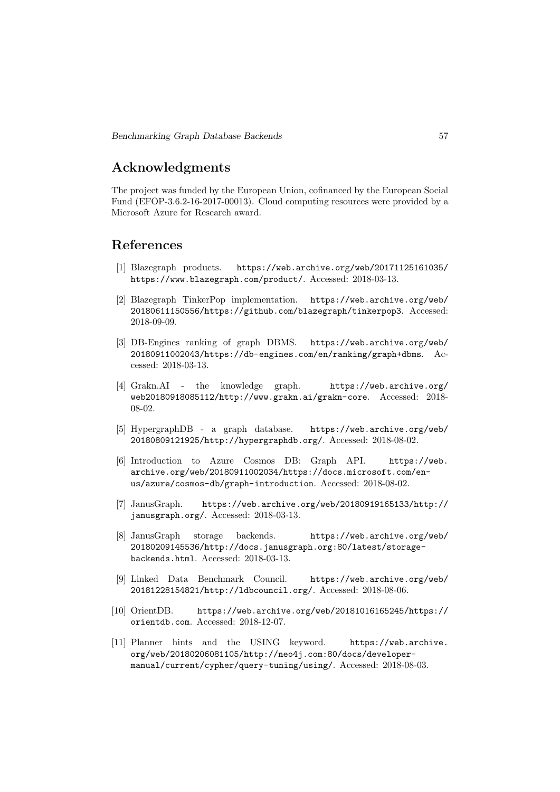## Acknowledgments

The project was funded by the European Union, cofinanced by the European Social Fund (EFOP-3.6.2-16-2017-00013). Cloud computing resources were provided by a Microsoft Azure for Research award.

## References

- [1] Blazegraph products. https://web.archive.org/web/20171125161035/ https://www.blazegraph.com/product/. Accessed: 2018-03-13.
- [2] Blazegraph TinkerPop implementation. https://web.archive.org/web/ 20180611150556/https://github.com/blazegraph/tinkerpop3. Accessed: 2018-09-09.
- [3] DB-Engines ranking of graph DBMS. https://web.archive.org/web/ 20180911002043/https://db-engines.com/en/ranking/graph+dbms. Accessed: 2018-03-13.
- [4] Grakn.AI the knowledge graph. https://web.archive.org/ web20180918085112/http://www.grakn.ai/grakn-core. Accessed: 2018- 08-02.
- [5] HypergraphDB a graph database. https://web.archive.org/web/ 20180809121925/http://hypergraphdb.org/. Accessed: 2018-08-02.
- [6] Introduction to Azure Cosmos DB: Graph API. https://web. archive.org/web/20180911002034/https://docs.microsoft.com/enus/azure/cosmos-db/graph-introduction. Accessed: 2018-08-02.
- [7] JanusGraph. https://web.archive.org/web/20180919165133/http:// janusgraph.org/. Accessed: 2018-03-13.
- [8] JanusGraph storage backends. https://web.archive.org/web/ 20180209145536/http://docs.janusgraph.org:80/latest/storagebackends.html. Accessed: 2018-03-13.
- [9] Linked Data Benchmark Council. https://web.archive.org/web/ 20181228154821/http://ldbcouncil.org/. Accessed: 2018-08-06.
- [10] OrientDB. https://web.archive.org/web/20181016165245/https:// orientdb.com. Accessed: 2018-12-07.
- [11] Planner hints and the USING keyword. https://web.archive. org/web/20180206081105/http://neo4j.com:80/docs/developermanual/current/cypher/query-tuning/using/. Accessed: 2018-08-03.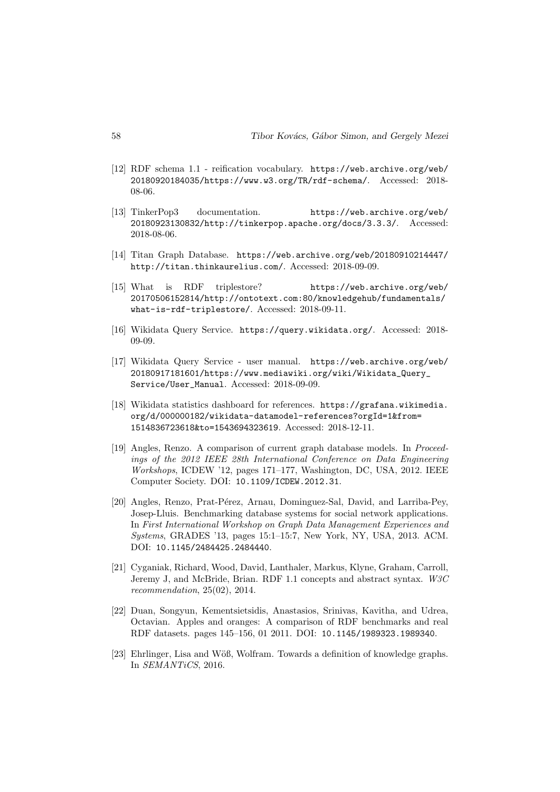- [12] RDF schema 1.1 reification vocabulary. https://web.archive.org/web/ 20180920184035/https://www.w3.org/TR/rdf-schema/. Accessed: 2018- 08-06.
- [13] TinkerPop3 documentation. https://web.archive.org/web/ 20180923130832/http://tinkerpop.apache.org/docs/3.3.3/. Accessed: 2018-08-06.
- [14] Titan Graph Database. https://web.archive.org/web/20180910214447/ http://titan.thinkaurelius.com/. Accessed: 2018-09-09.
- [15] What is RDF triplestore? https://web.archive.org/web/ 20170506152814/http://ontotext.com:80/knowledgehub/fundamentals/ what-is-rdf-triplestore/. Accessed: 2018-09-11.
- [16] Wikidata Query Service. https://query.wikidata.org/. Accessed: 2018- 09-09.
- [17] Wikidata Query Service user manual. https://web.archive.org/web/ 20180917181601/https://www.mediawiki.org/wiki/Wikidata\_Query\_ Service/User\_Manual. Accessed: 2018-09-09.
- [18] Wikidata statistics dashboard for references. https://grafana.wikimedia. org/d/000000182/wikidata-datamodel-references?orgId=1&from= 1514836723618&to=1543694323619. Accessed: 2018-12-11.
- [19] Angles, Renzo. A comparison of current graph database models. In Proceedings of the 2012 IEEE 28th International Conference on Data Engineering Workshops, ICDEW '12, pages 171–177, Washington, DC, USA, 2012. IEEE Computer Society. DOI: 10.1109/ICDEW.2012.31.
- [20] Angles, Renzo, Prat-Pérez, Arnau, Dominguez-Sal, David, and Larriba-Pey, Josep-Lluis. Benchmarking database systems for social network applications. In First International Workshop on Graph Data Management Experiences and Systems, GRADES '13, pages 15:1–15:7, New York, NY, USA, 2013. ACM. DOI: 10.1145/2484425.2484440.
- [21] Cyganiak, Richard, Wood, David, Lanthaler, Markus, Klyne, Graham, Carroll, Jeremy J, and McBride, Brian. RDF 1.1 concepts and abstract syntax. W3C recommendation, 25(02), 2014.
- [22] Duan, Songyun, Kementsietsidis, Anastasios, Srinivas, Kavitha, and Udrea, Octavian. Apples and oranges: A comparison of RDF benchmarks and real RDF datasets. pages 145–156, 01 2011. DOI: 10.1145/1989323.1989340.
- [23] Ehrlinger, Lisa and Wöß, Wolfram. Towards a definition of knowledge graphs. In SEMANTiCS, 2016.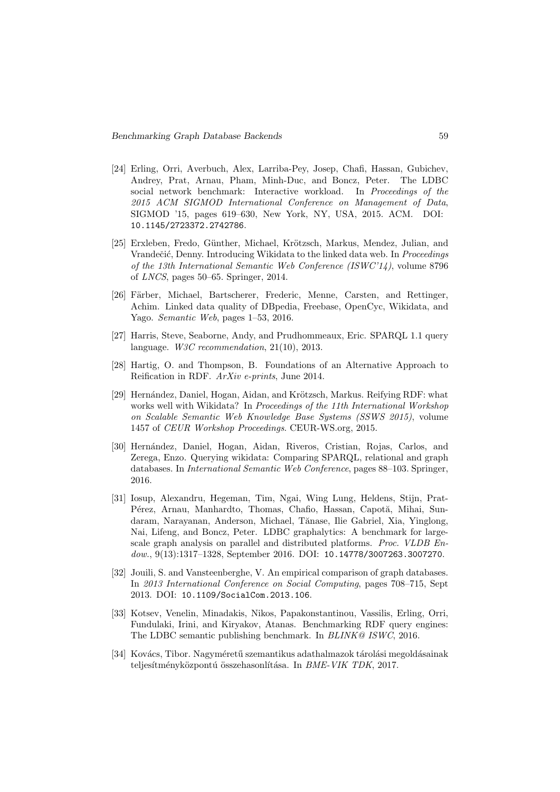- [24] Erling, Orri, Averbuch, Alex, Larriba-Pey, Josep, Chafi, Hassan, Gubichev, Andrey, Prat, Arnau, Pham, Minh-Duc, and Boncz, Peter. The LDBC social network benchmark: Interactive workload. In Proceedings of the 2015 ACM SIGMOD International Conference on Management of Data, SIGMOD '15, pages 619–630, New York, NY, USA, 2015. ACM. DOI: 10.1145/2723372.2742786.
- [25] Erxleben, Fredo, Günther, Michael, Krötzsch, Markus, Mendez, Julian, and Vrandečić, Denny. Introducing Wikidata to the linked data web. In Proceedings of the 13th International Semantic Web Conference (ISWC'14), volume 8796 of LNCS, pages 50–65. Springer, 2014.
- [26] Färber, Michael, Bartscherer, Frederic, Menne, Carsten, and Rettinger, Achim. Linked data quality of DBpedia, Freebase, OpenCyc, Wikidata, and Yago. Semantic Web, pages 1–53, 2016.
- [27] Harris, Steve, Seaborne, Andy, and Prudhommeaux, Eric. SPARQL 1.1 query language. W3C recommendation, 21(10), 2013.
- [28] Hartig, O. and Thompson, B. Foundations of an Alternative Approach to Reification in RDF. ArXiv e-prints, June 2014.
- [29] Hernández, Daniel, Hogan, Aidan, and Krötzsch, Markus. Reifying RDF: what works well with Wikidata? In Proceedings of the 11th International Workshop on Scalable Semantic Web Knowledge Base Systems (SSWS 2015), volume 1457 of CEUR Workshop Proceedings. CEUR-WS.org, 2015.
- [30] Hernández, Daniel, Hogan, Aidan, Riveros, Cristian, Rojas, Carlos, and Zerega, Enzo. Querying wikidata: Comparing SPARQL, relational and graph databases. In International Semantic Web Conference, pages 88–103. Springer, 2016.
- [31] Iosup, Alexandru, Hegeman, Tim, Ngai, Wing Lung, Heldens, Stijn, Prat-Pérez, Arnau, Manhardto, Thomas, Chafio, Hassan, Capotă, Mihai, Sundaram, Narayanan, Anderson, Michael, Tănase, Ilie Gabriel, Xia, Yinglong, Nai, Lifeng, and Boncz, Peter. LDBC graphalytics: A benchmark for largescale graph analysis on parallel and distributed platforms. Proc. VLDB Endow., 9(13):1317-1328, September 2016. DOI: 10.14778/3007263.3007270.
- [32] Jouili, S. and Vansteenberghe, V. An empirical comparison of graph databases. In 2013 International Conference on Social Computing, pages 708–715, Sept 2013. DOI: 10.1109/SocialCom.2013.106.
- [33] Kotsev, Venelin, Minadakis, Nikos, Papakonstantinou, Vassilis, Erling, Orri, Fundulaki, Irini, and Kiryakov, Atanas. Benchmarking RDF query engines: The LDBC semantic publishing benchmark. In *BLINK@ ISWC*, 2016.
- [34] Kovács, Tibor. Nagyméretű szemantikus adathalmazok tárolási megoldásainak teljesítményközpontú összehasonlítása. In BME-VIK TDK, 2017.